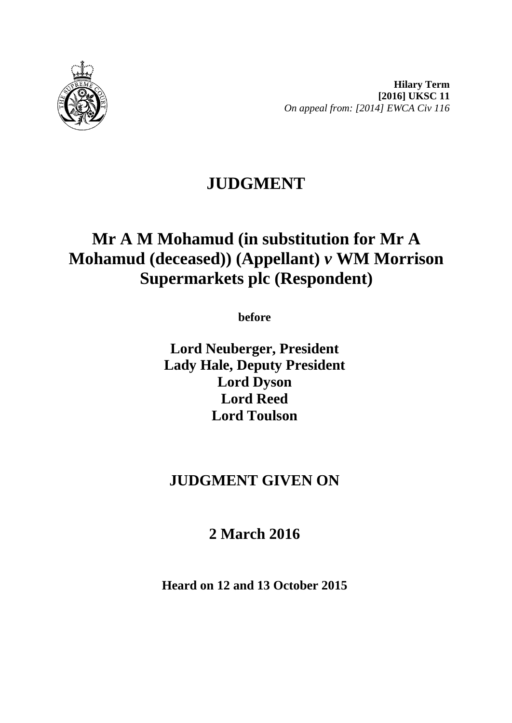

# **JUDGMENT**

# **Mr A M Mohamud (in substitution for Mr A Mohamud (deceased)) (Appellant)** *v* **WM Morrison Supermarkets plc (Respondent)**

**before** 

**Lord Neuberger, President Lady Hale, Deputy President Lord Dyson Lord Reed Lord Toulson**

# **JUDGMENT GIVEN ON**

# **2 March 2016**

**Heard on 12 and 13 October 2015**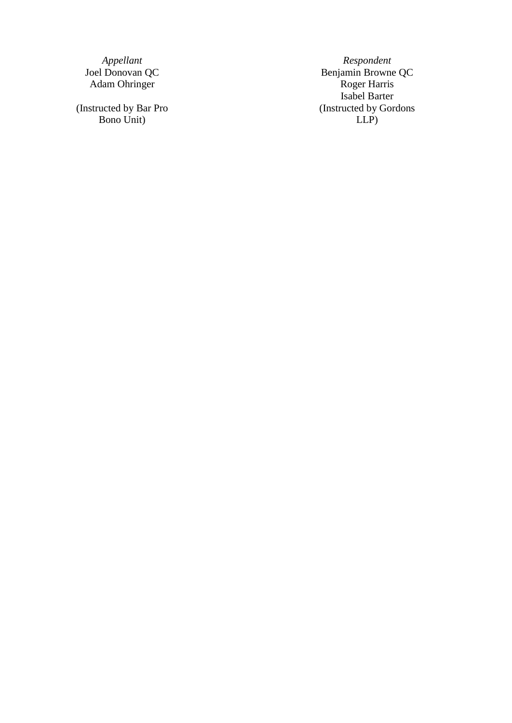(Instructed by Bar Pro Bono Unit )

*Appellant Respondent* Joel Donovan QC Benjamin Browne QC Adam Ohringer **Roger Harris** Roger Harris Isabel Barter (Instructed by Gordons LLP )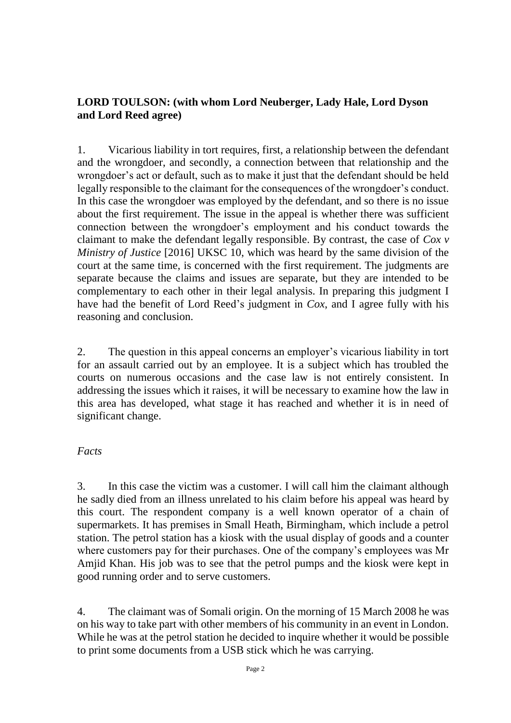### **LORD TOULSON: (with whom Lord Neuberger, Lady Hale, Lord Dyson and Lord Reed agree)**

1. Vicarious liability in tort requires, first, a relationship between the defendant and the wrongdoer, and secondly, a connection between that relationship and the wrongdoer's act or default, such as to make it just that the defendant should be held legally responsible to the claimant for the consequences of the wrongdoer's conduct. In this case the wrongdoer was employed by the defendant, and so there is no issue about the first requirement. The issue in the appeal is whether there was sufficient connection between the wrongdoer's employment and his conduct towards the claimant to make the defendant legally responsible. By contrast, the case of *Cox v Ministry of Justice* [2016] UKSC 10, which was heard by the same division of the court at the same time, is concerned with the first requirement. The judgments are separate because the claims and issues are separate, but they are intended to be complementary to each other in their legal analysis. In preparing this judgment I have had the benefit of Lord Reed's judgment in *Cox*, and I agree fully with his reasoning and conclusion.

2. The question in this appeal concerns an employer's vicarious liability in tort for an assault carried out by an employee. It is a subject which has troubled the courts on numerous occasions and the case law is not entirely consistent. In addressing the issues which it raises, it will be necessary to examine how the law in this area has developed, what stage it has reached and whether it is in need of significant change.

#### *Facts*

3. In this case the victim was a customer. I will call him the claimant although he sadly died from an illness unrelated to his claim before his appeal was heard by this court. The respondent company is a well known operator of a chain of supermarkets. It has premises in Small Heath, Birmingham, which include a petrol station. The petrol station has a kiosk with the usual display of goods and a counter where customers pay for their purchases. One of the company's employees was Mr Amjid Khan. His job was to see that the petrol pumps and the kiosk were kept in good running order and to serve customers.

4. The claimant was of Somali origin. On the morning of 15 March 2008 he was on his way to take part with other members of his community in an event in London. While he was at the petrol station he decided to inquire whether it would be possible to print some documents from a USB stick which he was carrying.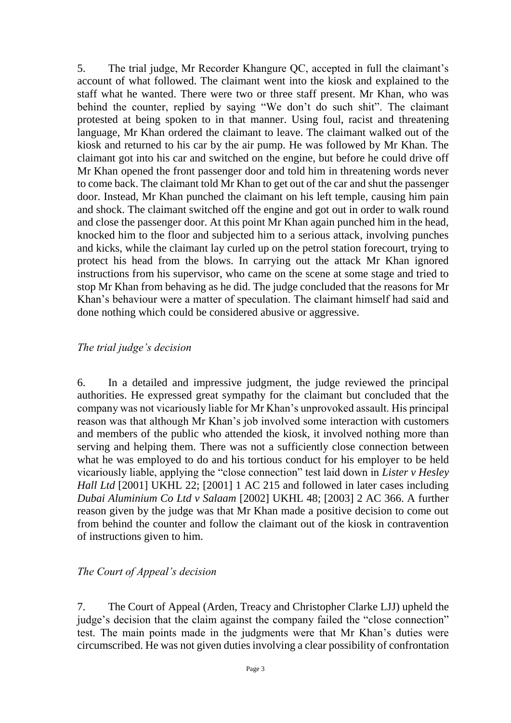5. The trial judge, Mr Recorder Khangure QC, accepted in full the claimant's account of what followed. The claimant went into the kiosk and explained to the staff what he wanted. There were two or three staff present. Mr Khan, who was behind the counter, replied by saying "We don't do such shit". The claimant protested at being spoken to in that manner. Using foul, racist and threatening language, Mr Khan ordered the claimant to leave. The claimant walked out of the kiosk and returned to his car by the air pump. He was followed by Mr Khan. The claimant got into his car and switched on the engine, but before he could drive off Mr Khan opened the front passenger door and told him in threatening words never to come back. The claimant told Mr Khan to get out of the car and shut the passenger door. Instead, Mr Khan punched the claimant on his left temple, causing him pain and shock. The claimant switched off the engine and got out in order to walk round and close the passenger door. At this point Mr Khan again punched him in the head, knocked him to the floor and subjected him to a serious attack, involving punches and kicks, while the claimant lay curled up on the petrol station forecourt, trying to protect his head from the blows. In carrying out the attack Mr Khan ignored instructions from his supervisor, who came on the scene at some stage and tried to stop Mr Khan from behaving as he did. The judge concluded that the reasons for Mr Khan's behaviour were a matter of speculation. The claimant himself had said and done nothing which could be considered abusive or aggressive.

#### *The trial judge's decision*

6. In a detailed and impressive judgment, the judge reviewed the principal authorities. He expressed great sympathy for the claimant but concluded that the company was not vicariously liable for Mr Khan's unprovoked assault. His principal reason was that although Mr Khan's job involved some interaction with customers and members of the public who attended the kiosk, it involved nothing more than serving and helping them. There was not a sufficiently close connection between what he was employed to do and his tortious conduct for his employer to be held vicariously liable, applying the "close connection" test laid down in *Lister v Hesley Hall Ltd* [2001] UKHL 22; [2001] 1 AC 215 and followed in later cases including *Dubai Aluminium Co Ltd v Salaam* [2002] UKHL 48; [2003] 2 AC 366. A further reason given by the judge was that Mr Khan made a positive decision to come out from behind the counter and follow the claimant out of the kiosk in contravention of instructions given to him.

#### *The Court of Appeal's decision*

7. The Court of Appeal (Arden, Treacy and Christopher Clarke LJJ) upheld the judge's decision that the claim against the company failed the "close connection" test. The main points made in the judgments were that Mr Khan's duties were circumscribed. He was not given duties involving a clear possibility of confrontation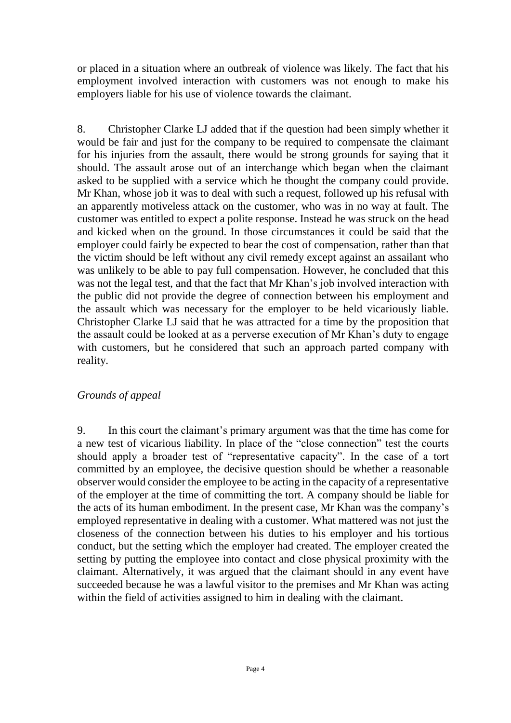or placed in a situation where an outbreak of violence was likely. The fact that his employment involved interaction with customers was not enough to make his employers liable for his use of violence towards the claimant.

8. Christopher Clarke LJ added that if the question had been simply whether it would be fair and just for the company to be required to compensate the claimant for his injuries from the assault, there would be strong grounds for saying that it should. The assault arose out of an interchange which began when the claimant asked to be supplied with a service which he thought the company could provide. Mr Khan, whose job it was to deal with such a request, followed up his refusal with an apparently motiveless attack on the customer, who was in no way at fault. The customer was entitled to expect a polite response. Instead he was struck on the head and kicked when on the ground. In those circumstances it could be said that the employer could fairly be expected to bear the cost of compensation, rather than that the victim should be left without any civil remedy except against an assailant who was unlikely to be able to pay full compensation. However, he concluded that this was not the legal test, and that the fact that Mr Khan's job involved interaction with the public did not provide the degree of connection between his employment and the assault which was necessary for the employer to be held vicariously liable. Christopher Clarke LJ said that he was attracted for a time by the proposition that the assault could be looked at as a perverse execution of Mr Khan's duty to engage with customers, but he considered that such an approach parted company with reality.

#### *Grounds of appeal*

9. In this court the claimant's primary argument was that the time has come for a new test of vicarious liability. In place of the "close connection" test the courts should apply a broader test of "representative capacity". In the case of a tort committed by an employee, the decisive question should be whether a reasonable observer would consider the employee to be acting in the capacity of a representative of the employer at the time of committing the tort. A company should be liable for the acts of its human embodiment. In the present case, Mr Khan was the company's employed representative in dealing with a customer. What mattered was not just the closeness of the connection between his duties to his employer and his tortious conduct, but the setting which the employer had created. The employer created the setting by putting the employee into contact and close physical proximity with the claimant. Alternatively, it was argued that the claimant should in any event have succeeded because he was a lawful visitor to the premises and Mr Khan was acting within the field of activities assigned to him in dealing with the claimant.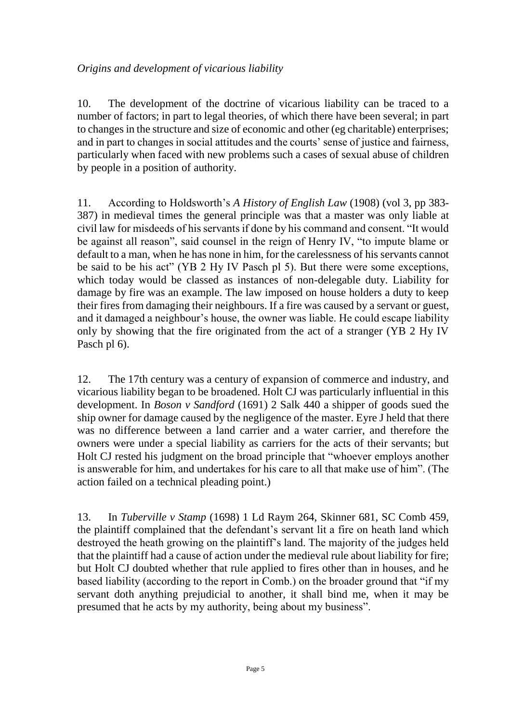10. The development of the doctrine of vicarious liability can be traced to a number of factors; in part to legal theories, of which there have been several; in part to changes in the structure and size of economic and other (eg charitable) enterprises; and in part to changes in social attitudes and the courts' sense of justice and fairness, particularly when faced with new problems such a cases of sexual abuse of children by people in a position of authority.

11. According to Holdsworth's *A History of English Law* (1908) (vol 3, pp 383- 387) in medieval times the general principle was that a master was only liable at civil law for misdeeds of his servants if done by his command and consent. "It would be against all reason", said counsel in the reign of Henry IV, "to impute blame or default to a man, when he has none in him, for the carelessness of his servants cannot be said to be his act" (YB 2 Hy IV Pasch pl 5). But there were some exceptions, which today would be classed as instances of non-delegable duty. Liability for damage by fire was an example. The law imposed on house holders a duty to keep their fires from damaging their neighbours. If a fire was caused by a servant or guest, and it damaged a neighbour's house, the owner was liable. He could escape liability only by showing that the fire originated from the act of a stranger (YB 2 Hy IV Pasch pl 6).

12. The 17th century was a century of expansion of commerce and industry, and vicarious liability began to be broadened. Holt CJ was particularly influential in this development. In *Boson v Sandford* (1691) 2 Salk 440 a shipper of goods sued the ship owner for damage caused by the negligence of the master. Eyre J held that there was no difference between a land carrier and a water carrier, and therefore the owners were under a special liability as carriers for the acts of their servants; but Holt CJ rested his judgment on the broad principle that "whoever employs another is answerable for him, and undertakes for his care to all that make use of him". (The action failed on a technical pleading point.)

13. In *Tuberville v Stamp* (1698) 1 Ld Raym 264, Skinner 681, SC Comb 459, the plaintiff complained that the defendant's servant lit a fire on heath land which destroyed the heath growing on the plaintiff's land. The majority of the judges held that the plaintiff had a cause of action under the medieval rule about liability for fire; but Holt CJ doubted whether that rule applied to fires other than in houses, and he based liability (according to the report in Comb.) on the broader ground that "if my servant doth anything prejudicial to another, it shall bind me, when it may be presumed that he acts by my authority, being about my business".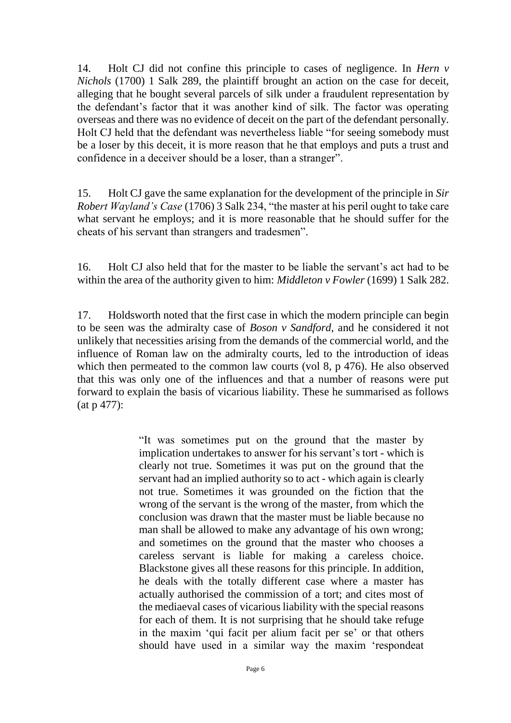14. Holt CJ did not confine this principle to cases of negligence. In *Hern v Nichols* (1700) 1 Salk 289, the plaintiff brought an action on the case for deceit, alleging that he bought several parcels of silk under a fraudulent representation by the defendant's factor that it was another kind of silk. The factor was operating overseas and there was no evidence of deceit on the part of the defendant personally. Holt CJ held that the defendant was nevertheless liable "for seeing somebody must be a loser by this deceit, it is more reason that he that employs and puts a trust and confidence in a deceiver should be a loser, than a stranger".

15. Holt CJ gave the same explanation for the development of the principle in *Sir Robert Wayland's Case* (1706) 3 Salk 234, "the master at his peril ought to take care what servant he employs; and it is more reasonable that he should suffer for the cheats of his servant than strangers and tradesmen".

16. Holt CJ also held that for the master to be liable the servant's act had to be within the area of the authority given to him: *Middleton v Fowler* (1699) 1 Salk 282.

17. Holdsworth noted that the first case in which the modern principle can begin to be seen was the admiralty case of *Boson v Sandford*, and he considered it not unlikely that necessities arising from the demands of the commercial world, and the influence of Roman law on the admiralty courts, led to the introduction of ideas which then permeated to the common law courts (vol 8, p 476). He also observed that this was only one of the influences and that a number of reasons were put forward to explain the basis of vicarious liability. These he summarised as follows (at p 477):

> "It was sometimes put on the ground that the master by implication undertakes to answer for his servant's tort - which is clearly not true. Sometimes it was put on the ground that the servant had an implied authority so to act - which again is clearly not true. Sometimes it was grounded on the fiction that the wrong of the servant is the wrong of the master, from which the conclusion was drawn that the master must be liable because no man shall be allowed to make any advantage of his own wrong; and sometimes on the ground that the master who chooses a careless servant is liable for making a careless choice. Blackstone gives all these reasons for this principle. In addition, he deals with the totally different case where a master has actually authorised the commission of a tort; and cites most of the mediaeval cases of vicarious liability with the special reasons for each of them. It is not surprising that he should take refuge in the maxim 'qui facit per alium facit per se' or that others should have used in a similar way the maxim 'respondeat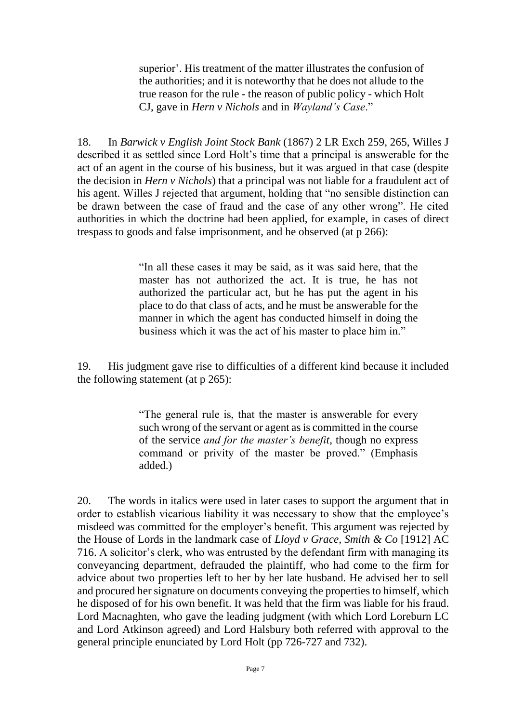superior'. His treatment of the matter illustrates the confusion of the authorities; and it is noteworthy that he does not allude to the true reason for the rule - the reason of public policy - which Holt CJ, gave in *Hern v Nichols* and in *Wayland's Case*."

18. In *Barwick v English Joint Stock Bank* (1867) 2 LR Exch 259, 265, Willes J described it as settled since Lord Holt's time that a principal is answerable for the act of an agent in the course of his business, but it was argued in that case (despite the decision in *Hern v Nichols*) that a principal was not liable for a fraudulent act of his agent. Willes J rejected that argument, holding that "no sensible distinction can be drawn between the case of fraud and the case of any other wrong". He cited authorities in which the doctrine had been applied, for example, in cases of direct trespass to goods and false imprisonment, and he observed (at p 266):

> "In all these cases it may be said, as it was said here, that the master has not authorized the act. It is true, he has not authorized the particular act, but he has put the agent in his place to do that class of acts, and he must be answerable for the manner in which the agent has conducted himself in doing the business which it was the act of his master to place him in."

19. His judgment gave rise to difficulties of a different kind because it included the following statement (at p 265):

> "The general rule is, that the master is answerable for every such wrong of the servant or agent as is committed in the course of the service *and for the master's benefit*, though no express command or privity of the master be proved." (Emphasis added.)

20. The words in italics were used in later cases to support the argument that in order to establish vicarious liability it was necessary to show that the employee's misdeed was committed for the employer's benefit. This argument was rejected by the House of Lords in the landmark case of *Lloyd v Grace, Smith & Co* [1912] AC 716. A solicitor's clerk, who was entrusted by the defendant firm with managing its conveyancing department, defrauded the plaintiff, who had come to the firm for advice about two properties left to her by her late husband. He advised her to sell and procured her signature on documents conveying the properties to himself, which he disposed of for his own benefit. It was held that the firm was liable for his fraud. Lord Macnaghten, who gave the leading judgment (with which Lord Loreburn LC and Lord Atkinson agreed) and Lord Halsbury both referred with approval to the general principle enunciated by Lord Holt (pp 726-727 and 732).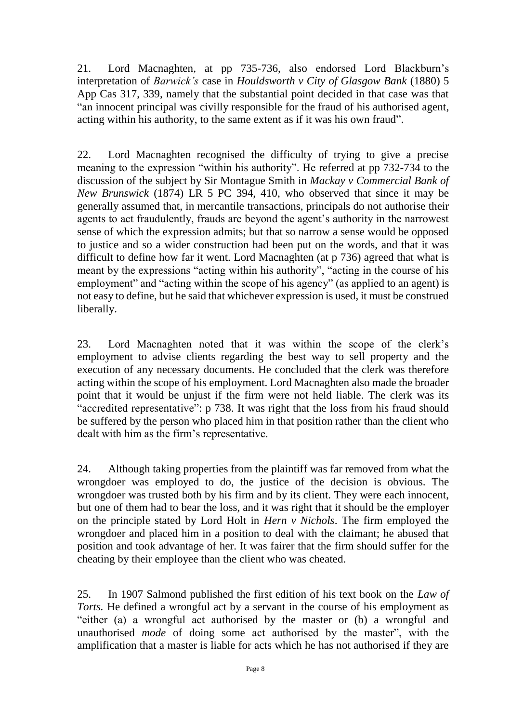21. Lord Macnaghten, at pp 735-736, also endorsed Lord Blackburn's interpretation of *Barwick's* case in *Houldsworth v City of Glasgow Bank* (1880) 5 App Cas 317, 339, namely that the substantial point decided in that case was that "an innocent principal was civilly responsible for the fraud of his authorised agent, acting within his authority, to the same extent as if it was his own fraud".

22. Lord Macnaghten recognised the difficulty of trying to give a precise meaning to the expression "within his authority". He referred at pp 732-734 to the discussion of the subject by Sir Montague Smith in *Mackay v Commercial Bank of New Brunswick* (1874) LR 5 PC 394, 410, who observed that since it may be generally assumed that, in mercantile transactions, principals do not authorise their agents to act fraudulently, frauds are beyond the agent's authority in the narrowest sense of which the expression admits; but that so narrow a sense would be opposed to justice and so a wider construction had been put on the words, and that it was difficult to define how far it went. Lord Macnaghten (at p 736) agreed that what is meant by the expressions "acting within his authority", "acting in the course of his employment" and "acting within the scope of his agency" (as applied to an agent) is not easy to define, but he said that whichever expression is used, it must be construed liberally.

23. Lord Macnaghten noted that it was within the scope of the clerk's employment to advise clients regarding the best way to sell property and the execution of any necessary documents. He concluded that the clerk was therefore acting within the scope of his employment. Lord Macnaghten also made the broader point that it would be unjust if the firm were not held liable. The clerk was its "accredited representative": p 738. It was right that the loss from his fraud should be suffered by the person who placed him in that position rather than the client who dealt with him as the firm's representative.

24. Although taking properties from the plaintiff was far removed from what the wrongdoer was employed to do, the justice of the decision is obvious. The wrongdoer was trusted both by his firm and by its client. They were each innocent, but one of them had to bear the loss, and it was right that it should be the employer on the principle stated by Lord Holt in *Hern v Nichols*. The firm employed the wrongdoer and placed him in a position to deal with the claimant; he abused that position and took advantage of her. It was fairer that the firm should suffer for the cheating by their employee than the client who was cheated.

25. In 1907 Salmond published the first edition of his text book on the *Law of Torts.* He defined a wrongful act by a servant in the course of his employment as "either (a) a wrongful act authorised by the master or (b) a wrongful and unauthorised *mode* of doing some act authorised by the master", with the amplification that a master is liable for acts which he has not authorised if they are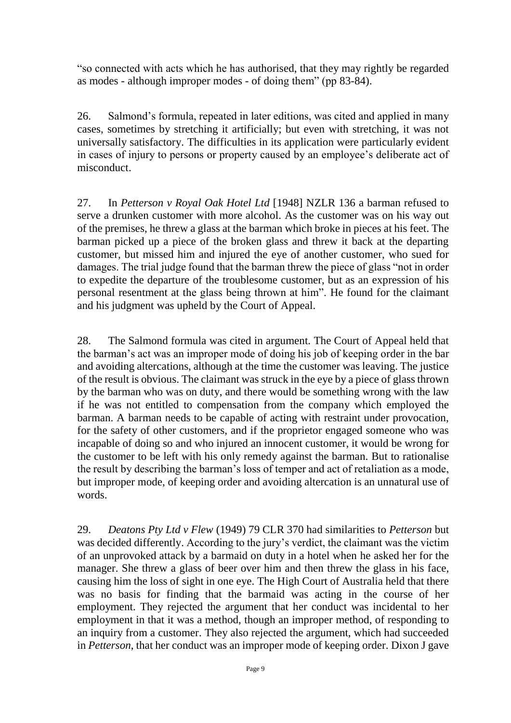"so connected with acts which he has authorised, that they may rightly be regarded as modes - although improper modes - of doing them" (pp 83-84).

26. Salmond's formula, repeated in later editions, was cited and applied in many cases, sometimes by stretching it artificially; but even with stretching, it was not universally satisfactory. The difficulties in its application were particularly evident in cases of injury to persons or property caused by an employee's deliberate act of misconduct.

27. In *Petterson v Royal Oak Hotel Ltd* [1948] NZLR 136 a barman refused to serve a drunken customer with more alcohol. As the customer was on his way out of the premises, he threw a glass at the barman which broke in pieces at his feet. The barman picked up a piece of the broken glass and threw it back at the departing customer, but missed him and injured the eye of another customer, who sued for damages. The trial judge found that the barman threw the piece of glass "not in order to expedite the departure of the troublesome customer, but as an expression of his personal resentment at the glass being thrown at him". He found for the claimant and his judgment was upheld by the Court of Appeal.

28. The Salmond formula was cited in argument. The Court of Appeal held that the barman's act was an improper mode of doing his job of keeping order in the bar and avoiding altercations, although at the time the customer was leaving. The justice of the result is obvious. The claimant was struck in the eye by a piece of glass thrown by the barman who was on duty, and there would be something wrong with the law if he was not entitled to compensation from the company which employed the barman. A barman needs to be capable of acting with restraint under provocation, for the safety of other customers, and if the proprietor engaged someone who was incapable of doing so and who injured an innocent customer, it would be wrong for the customer to be left with his only remedy against the barman. But to rationalise the result by describing the barman's loss of temper and act of retaliation as a mode, but improper mode, of keeping order and avoiding altercation is an unnatural use of words.

29. *Deatons Pty Ltd v Flew* (1949) 79 CLR 370 had similarities to *Petterson* but was decided differently. According to the jury's verdict, the claimant was the victim of an unprovoked attack by a barmaid on duty in a hotel when he asked her for the manager. She threw a glass of beer over him and then threw the glass in his face, causing him the loss of sight in one eye. The High Court of Australia held that there was no basis for finding that the barmaid was acting in the course of her employment. They rejected the argument that her conduct was incidental to her employment in that it was a method, though an improper method, of responding to an inquiry from a customer. They also rejected the argument, which had succeeded in *Petterson*, that her conduct was an improper mode of keeping order. Dixon J gave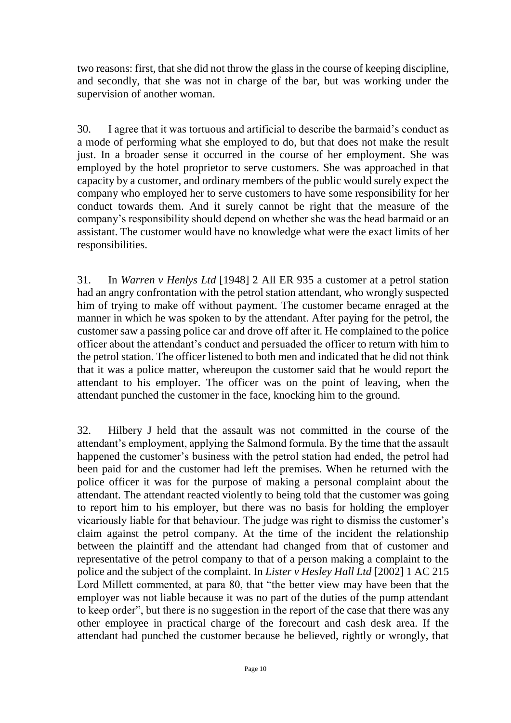two reasons: first, that she did not throw the glass in the course of keeping discipline, and secondly, that she was not in charge of the bar, but was working under the supervision of another woman.

30. I agree that it was tortuous and artificial to describe the barmaid's conduct as a mode of performing what she employed to do, but that does not make the result just. In a broader sense it occurred in the course of her employment. She was employed by the hotel proprietor to serve customers. She was approached in that capacity by a customer, and ordinary members of the public would surely expect the company who employed her to serve customers to have some responsibility for her conduct towards them. And it surely cannot be right that the measure of the company's responsibility should depend on whether she was the head barmaid or an assistant. The customer would have no knowledge what were the exact limits of her responsibilities.

31. In *Warren v Henlys Ltd* [1948] 2 All ER 935 a customer at a petrol station had an angry confrontation with the petrol station attendant, who wrongly suspected him of trying to make off without payment. The customer became enraged at the manner in which he was spoken to by the attendant. After paying for the petrol, the customer saw a passing police car and drove off after it. He complained to the police officer about the attendant's conduct and persuaded the officer to return with him to the petrol station. The officer listened to both men and indicated that he did not think that it was a police matter, whereupon the customer said that he would report the attendant to his employer. The officer was on the point of leaving, when the attendant punched the customer in the face, knocking him to the ground.

32. Hilbery J held that the assault was not committed in the course of the attendant's employment, applying the Salmond formula. By the time that the assault happened the customer's business with the petrol station had ended, the petrol had been paid for and the customer had left the premises. When he returned with the police officer it was for the purpose of making a personal complaint about the attendant. The attendant reacted violently to being told that the customer was going to report him to his employer, but there was no basis for holding the employer vicariously liable for that behaviour. The judge was right to dismiss the customer's claim against the petrol company. At the time of the incident the relationship between the plaintiff and the attendant had changed from that of customer and representative of the petrol company to that of a person making a complaint to the police and the subject of the complaint. In *Lister v Hesley Hall Ltd* [2002] 1 AC 215 Lord Millett commented, at para 80, that "the better view may have been that the employer was not liable because it was no part of the duties of the pump attendant to keep order", but there is no suggestion in the report of the case that there was any other employee in practical charge of the forecourt and cash desk area. If the attendant had punched the customer because he believed, rightly or wrongly, that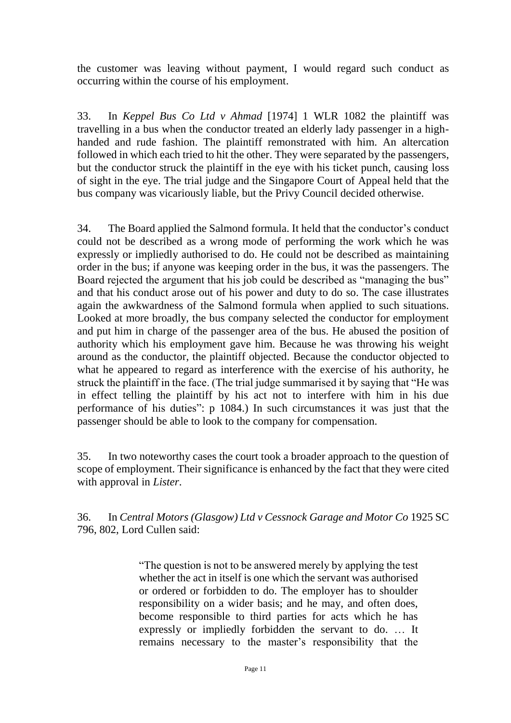the customer was leaving without payment, I would regard such conduct as occurring within the course of his employment.

33. In *Keppel Bus Co Ltd v Ahmad* [1974] 1 WLR 1082 the plaintiff was travelling in a bus when the conductor treated an elderly lady passenger in a highhanded and rude fashion. The plaintiff remonstrated with him. An altercation followed in which each tried to hit the other. They were separated by the passengers, but the conductor struck the plaintiff in the eye with his ticket punch, causing loss of sight in the eye. The trial judge and the Singapore Court of Appeal held that the bus company was vicariously liable, but the Privy Council decided otherwise.

34. The Board applied the Salmond formula. It held that the conductor's conduct could not be described as a wrong mode of performing the work which he was expressly or impliedly authorised to do. He could not be described as maintaining order in the bus; if anyone was keeping order in the bus, it was the passengers. The Board rejected the argument that his job could be described as "managing the bus" and that his conduct arose out of his power and duty to do so. The case illustrates again the awkwardness of the Salmond formula when applied to such situations. Looked at more broadly, the bus company selected the conductor for employment and put him in charge of the passenger area of the bus. He abused the position of authority which his employment gave him. Because he was throwing his weight around as the conductor, the plaintiff objected. Because the conductor objected to what he appeared to regard as interference with the exercise of his authority, he struck the plaintiff in the face. (The trial judge summarised it by saying that "He was in effect telling the plaintiff by his act not to interfere with him in his due performance of his duties": p 1084.) In such circumstances it was just that the passenger should be able to look to the company for compensation.

35. In two noteworthy cases the court took a broader approach to the question of scope of employment. Their significance is enhanced by the fact that they were cited with approval in *Lister*.

36. In *Central Motors (Glasgow) Ltd v Cessnock Garage and Motor Co* 1925 SC 796, 802, Lord Cullen said:

> "The question is not to be answered merely by applying the test whether the act in itself is one which the servant was authorised or ordered or forbidden to do. The employer has to shoulder responsibility on a wider basis; and he may, and often does, become responsible to third parties for acts which he has expressly or impliedly forbidden the servant to do. … It remains necessary to the master's responsibility that the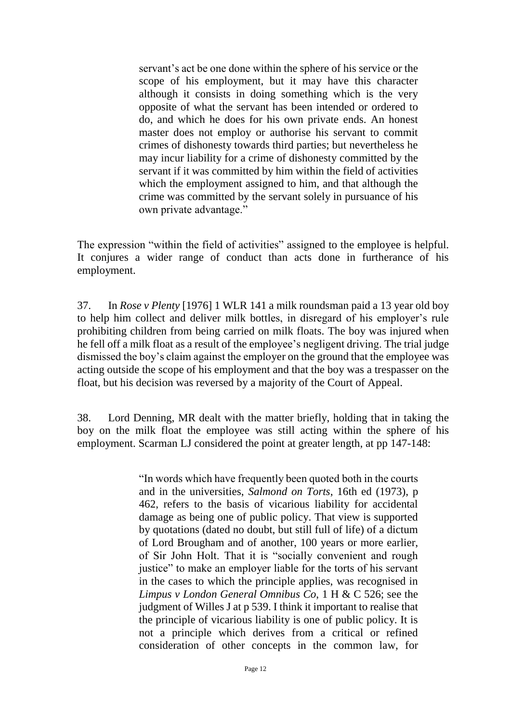servant's act be one done within the sphere of his service or the scope of his employment, but it may have this character although it consists in doing something which is the very opposite of what the servant has been intended or ordered to do, and which he does for his own private ends. An honest master does not employ or authorise his servant to commit crimes of dishonesty towards third parties; but nevertheless he may incur liability for a crime of dishonesty committed by the servant if it was committed by him within the field of activities which the employment assigned to him, and that although the crime was committed by the servant solely in pursuance of his own private advantage."

The expression "within the field of activities" assigned to the employee is helpful. It conjures a wider range of conduct than acts done in furtherance of his employment.

37. In *Rose v Plenty* [1976] 1 WLR 141 a milk roundsman paid a 13 year old boy to help him collect and deliver milk bottles, in disregard of his employer's rule prohibiting children from being carried on milk floats. The boy was injured when he fell off a milk float as a result of the employee's negligent driving. The trial judge dismissed the boy's claim against the employer on the ground that the employee was acting outside the scope of his employment and that the boy was a trespasser on the float, but his decision was reversed by a majority of the Court of Appeal.

38. Lord Denning, MR dealt with the matter briefly, holding that in taking the boy on the milk float the employee was still acting within the sphere of his employment. Scarman LJ considered the point at greater length, at pp 147-148:

> "In words which have frequently been quoted both in the courts and in the universities, *Salmond on Torts*, 16th ed (1973), p 462, refers to the basis of vicarious liability for accidental damage as being one of public policy. That view is supported by quotations (dated no doubt, but still full of life) of a dictum of Lord Brougham and of another, 100 years or more earlier, of Sir John Holt. That it is "socially convenient and rough justice" to make an employer liable for the torts of his servant in the cases to which the principle applies, was recognised in *Limpus v London General Omnibus Co*, 1 H & C 526; see the judgment of Willes J at p 539. I think it important to realise that the principle of vicarious liability is one of public policy. It is not a principle which derives from a critical or refined consideration of other concepts in the common law, for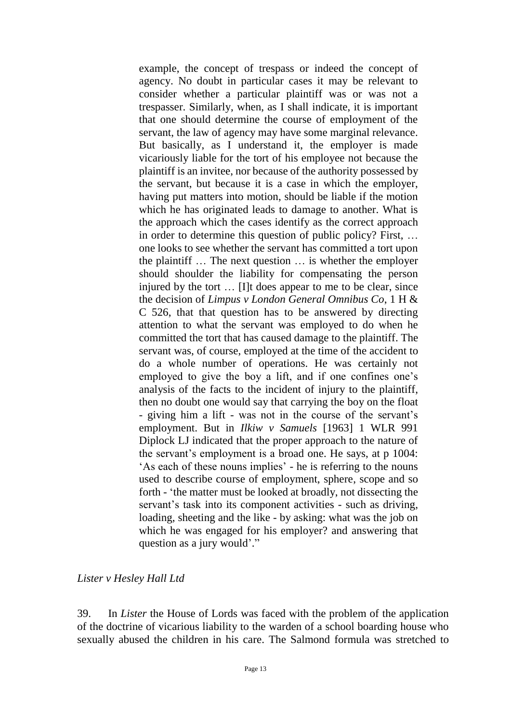example, the concept of trespass or indeed the concept of agency. No doubt in particular cases it may be relevant to consider whether a particular plaintiff was or was not a trespasser. Similarly, when, as I shall indicate, it is important that one should determine the course of employment of the servant, the law of agency may have some marginal relevance. But basically, as I understand it, the employer is made vicariously liable for the tort of his employee not because the plaintiff is an invitee, nor because of the authority possessed by the servant, but because it is a case in which the employer, having put matters into motion, should be liable if the motion which he has originated leads to damage to another. What is the approach which the cases identify as the correct approach in order to determine this question of public policy? First, … one looks to see whether the servant has committed a tort upon the plaintiff … The next question … is whether the employer should shoulder the liability for compensating the person injured by the tort … [I]t does appear to me to be clear, since the decision of *Limpus v London General Omnibus Co*, 1 H & C 526, that that question has to be answered by directing attention to what the servant was employed to do when he committed the tort that has caused damage to the plaintiff. The servant was, of course, employed at the time of the accident to do a whole number of operations. He was certainly not employed to give the boy a lift, and if one confines one's analysis of the facts to the incident of injury to the plaintiff, then no doubt one would say that carrying the boy on the float - giving him a lift - was not in the course of the servant's employment. But in *Ilkiw v Samuels* [1963] 1 WLR 991 Diplock LJ indicated that the proper approach to the nature of the servant's employment is a broad one. He says, at p 1004: 'As each of these nouns implies' - he is referring to the nouns used to describe course of employment, sphere, scope and so forth - 'the matter must be looked at broadly, not dissecting the servant's task into its component activities - such as driving, loading, sheeting and the like - by asking: what was the job on which he was engaged for his employer? and answering that question as a jury would'."

#### *Lister v Hesley Hall Ltd*

39. In *Lister* the House of Lords was faced with the problem of the application of the doctrine of vicarious liability to the warden of a school boarding house who sexually abused the children in his care. The Salmond formula was stretched to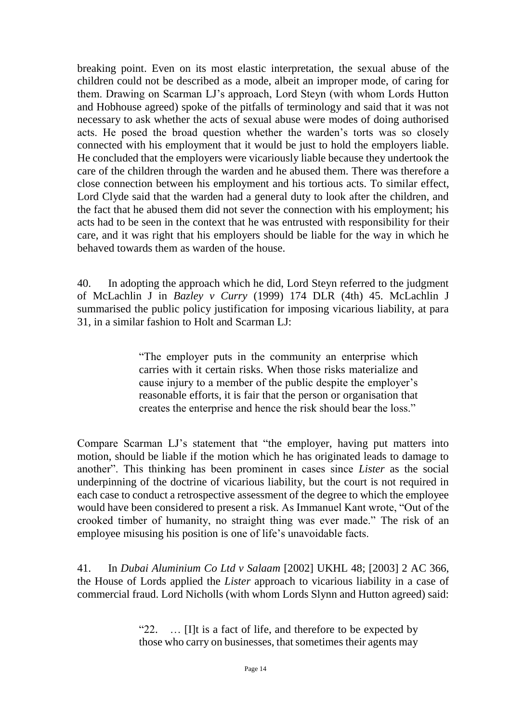breaking point. Even on its most elastic interpretation, the sexual abuse of the children could not be described as a mode, albeit an improper mode, of caring for them. Drawing on Scarman LJ's approach, Lord Steyn (with whom Lords Hutton and Hobhouse agreed) spoke of the pitfalls of terminology and said that it was not necessary to ask whether the acts of sexual abuse were modes of doing authorised acts. He posed the broad question whether the warden's torts was so closely connected with his employment that it would be just to hold the employers liable. He concluded that the employers were vicariously liable because they undertook the care of the children through the warden and he abused them. There was therefore a close connection between his employment and his tortious acts. To similar effect, Lord Clyde said that the warden had a general duty to look after the children, and the fact that he abused them did not sever the connection with his employment; his acts had to be seen in the context that he was entrusted with responsibility for their care, and it was right that his employers should be liable for the way in which he behaved towards them as warden of the house.

40. In adopting the approach which he did, Lord Steyn referred to the judgment of McLachlin J in *Bazley v Curry* (1999) 174 DLR (4th) 45. McLachlin J summarised the public policy justification for imposing vicarious liability, at para 31, in a similar fashion to Holt and Scarman LJ:

> "The employer puts in the community an enterprise which carries with it certain risks. When those risks materialize and cause injury to a member of the public despite the employer's reasonable efforts, it is fair that the person or organisation that creates the enterprise and hence the risk should bear the loss."

Compare Scarman LJ's statement that "the employer, having put matters into motion, should be liable if the motion which he has originated leads to damage to another". This thinking has been prominent in cases since *Lister* as the social underpinning of the doctrine of vicarious liability, but the court is not required in each case to conduct a retrospective assessment of the degree to which the employee would have been considered to present a risk. As Immanuel Kant wrote, "Out of the crooked timber of humanity, no straight thing was ever made." The risk of an employee misusing his position is one of life's unavoidable facts.

41. In *Dubai Aluminium Co Ltd v Salaam* [2002] UKHL 48; [2003] 2 AC 366, the House of Lords applied the *Lister* approach to vicarious liability in a case of commercial fraud. Lord Nicholls (with whom Lords Slynn and Hutton agreed) said:

> "22. ... II t is a fact of life, and therefore to be expected by those who carry on businesses, that sometimes their agents may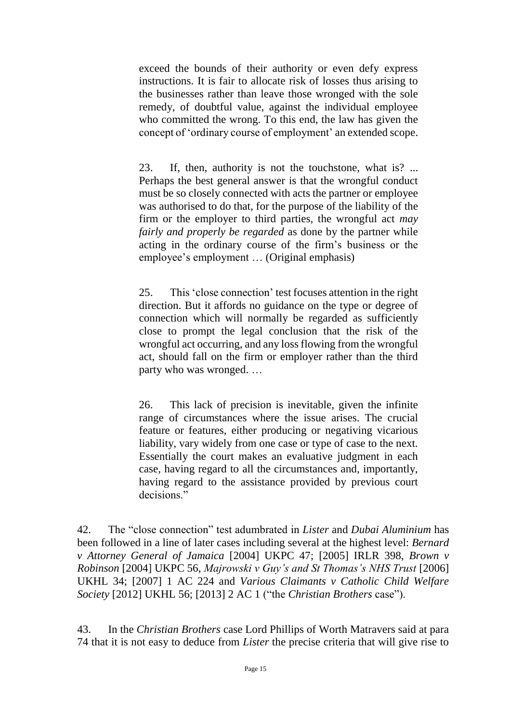exceed the bounds of their authority or even defy express instructions. It is fair to allocate risk of losses thus arising to the businesses rather than leave those wronged with the sole remedy, of doubtful value, against the individual employee who committed the wrong. To this end, the law has given the concept of 'ordinary course of employment' an extended scope.

23. If, then, authority is not the touchstone, what is? ... Perhaps the best general answer is that the wrongful conduct must be so closely connected with acts the partner or employee was authorised to do that, for the purpose of the liability of the firm or the employer to third parties, the wrongful act *may fairly and properly be regarded* as done by the partner while acting in the ordinary course of the firm's business or the employee's employment … (Original emphasis)

25. This 'close connection' test focuses attention in the right direction. But it affords no guidance on the type or degree of connection which will normally be regarded as sufficiently close to prompt the legal conclusion that the risk of the wrongful act occurring, and any loss flowing from the wrongful act, should fall on the firm or employer rather than the third party who was wronged. …

26. This lack of precision is inevitable, given the infinite range of circumstances where the issue arises. The crucial feature or features, either producing or negativing vicarious liability, vary widely from one case or type of case to the next. Essentially the court makes an evaluative judgment in each case, having regard to all the circumstances and, importantly, having regard to the assistance provided by previous court decisions."

42. The "close connection" test adumbrated in *Lister* and *Dubai Aluminium* has been followed in a line of later cases including several at the highest level: *Bernard v Attorney General of Jamaica* [2004] UKPC 47; [2005] IRLR 398, *Brown v Robinson* [2004] UKPC 56, *Majrowski v Guy's and St Thomas's NHS Trust* [2006] UKHL 34; [2007] 1 AC 224 and *Various Claimants v Catholic Child Welfare Society* [2012] UKHL 56; [2013] 2 AC 1 ("the *Christian Brothers* case").

43. In the *Christian Brothers* case Lord Phillips of Worth Matravers said at para 74 that it is not easy to deduce from *Lister* the precise criteria that will give rise to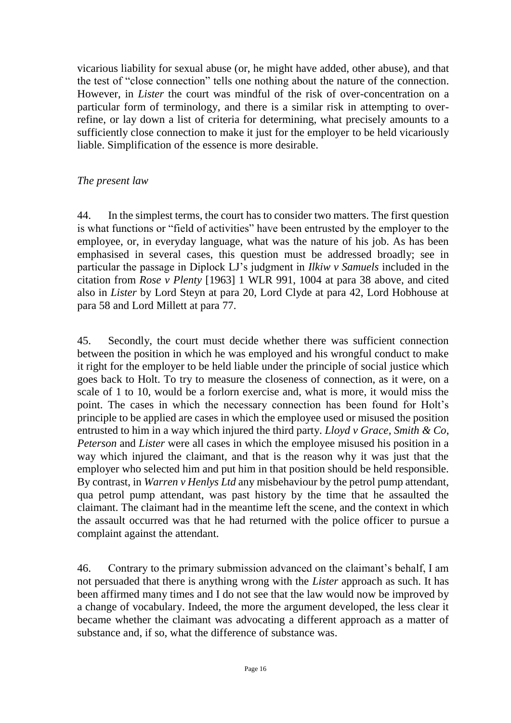vicarious liability for sexual abuse (or, he might have added, other abuse), and that the test of "close connection" tells one nothing about the nature of the connection. However, in *Lister* the court was mindful of the risk of over-concentration on a particular form of terminology, and there is a similar risk in attempting to overrefine, or lay down a list of criteria for determining, what precisely amounts to a sufficiently close connection to make it just for the employer to be held vicariously liable. Simplification of the essence is more desirable.

### *The present law*

44. In the simplest terms, the court has to consider two matters. The first question is what functions or "field of activities" have been entrusted by the employer to the employee, or, in everyday language, what was the nature of his job. As has been emphasised in several cases, this question must be addressed broadly; see in particular the passage in Diplock LJ's judgment in *Ilkiw v Samuels* included in the citation from *Rose v Plenty* [1963] 1 WLR 991, 1004 at para 38 above, and cited also in *Lister* by Lord Steyn at para 20, Lord Clyde at para 42, Lord Hobhouse at para 58 and Lord Millett at para 77.

45. Secondly, the court must decide whether there was sufficient connection between the position in which he was employed and his wrongful conduct to make it right for the employer to be held liable under the principle of social justice which goes back to Holt. To try to measure the closeness of connection, as it were, on a scale of 1 to 10, would be a forlorn exercise and, what is more, it would miss the point. The cases in which the necessary connection has been found for Holt's principle to be applied are cases in which the employee used or misused the position entrusted to him in a way which injured the third party. *Lloyd v Grace, Smith & Co*, *Peterson* and *Lister* were all cases in which the employee misused his position in a way which injured the claimant, and that is the reason why it was just that the employer who selected him and put him in that position should be held responsible. By contrast, in *Warren v Henlys Ltd* any misbehaviour by the petrol pump attendant, qua petrol pump attendant, was past history by the time that he assaulted the claimant. The claimant had in the meantime left the scene, and the context in which the assault occurred was that he had returned with the police officer to pursue a complaint against the attendant.

46. Contrary to the primary submission advanced on the claimant's behalf, I am not persuaded that there is anything wrong with the *Lister* approach as such. It has been affirmed many times and I do not see that the law would now be improved by a change of vocabulary. Indeed, the more the argument developed, the less clear it became whether the claimant was advocating a different approach as a matter of substance and, if so, what the difference of substance was.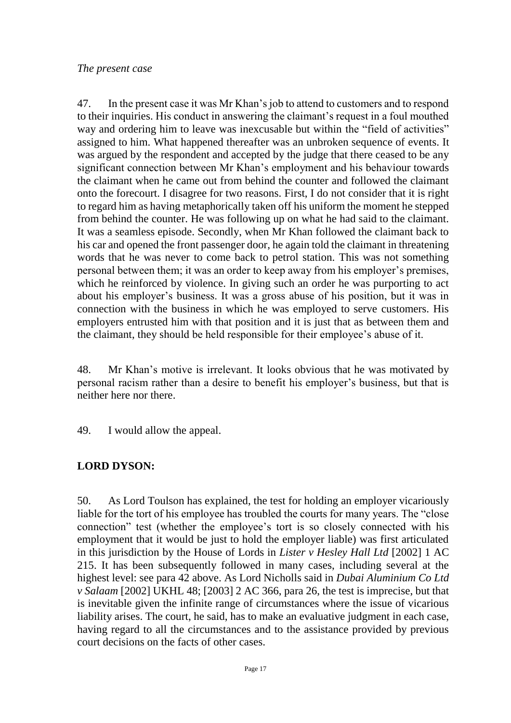#### *The present case*

47. In the present case it was Mr Khan's job to attend to customers and to respond to their inquiries. His conduct in answering the claimant's request in a foul mouthed way and ordering him to leave was inexcusable but within the "field of activities" assigned to him. What happened thereafter was an unbroken sequence of events. It was argued by the respondent and accepted by the judge that there ceased to be any significant connection between Mr Khan's employment and his behaviour towards the claimant when he came out from behind the counter and followed the claimant onto the forecourt. I disagree for two reasons. First, I do not consider that it is right to regard him as having metaphorically taken off his uniform the moment he stepped from behind the counter. He was following up on what he had said to the claimant. It was a seamless episode. Secondly, when Mr Khan followed the claimant back to his car and opened the front passenger door, he again told the claimant in threatening words that he was never to come back to petrol station. This was not something personal between them; it was an order to keep away from his employer's premises, which he reinforced by violence. In giving such an order he was purporting to act about his employer's business. It was a gross abuse of his position, but it was in connection with the business in which he was employed to serve customers. His employers entrusted him with that position and it is just that as between them and the claimant, they should be held responsible for their employee's abuse of it.

48. Mr Khan's motive is irrelevant. It looks obvious that he was motivated by personal racism rather than a desire to benefit his employer's business, but that is neither here nor there.

49. I would allow the appeal.

## **LORD DYSON:**

50. As Lord Toulson has explained, the test for holding an employer vicariously liable for the tort of his employee has troubled the courts for many years. The "close connection" test (whether the employee's tort is so closely connected with his employment that it would be just to hold the employer liable) was first articulated in this jurisdiction by the House of Lords in *Lister v Hesley Hall Ltd* [2002] 1 AC 215. It has been subsequently followed in many cases, including several at the highest level: see para 42 above. As Lord Nicholls said in *Dubai Aluminium Co Ltd v Salaam* [2002] UKHL 48; [2003] 2 AC 366, para 26, the test is imprecise, but that is inevitable given the infinite range of circumstances where the issue of vicarious liability arises. The court, he said, has to make an evaluative judgment in each case, having regard to all the circumstances and to the assistance provided by previous court decisions on the facts of other cases.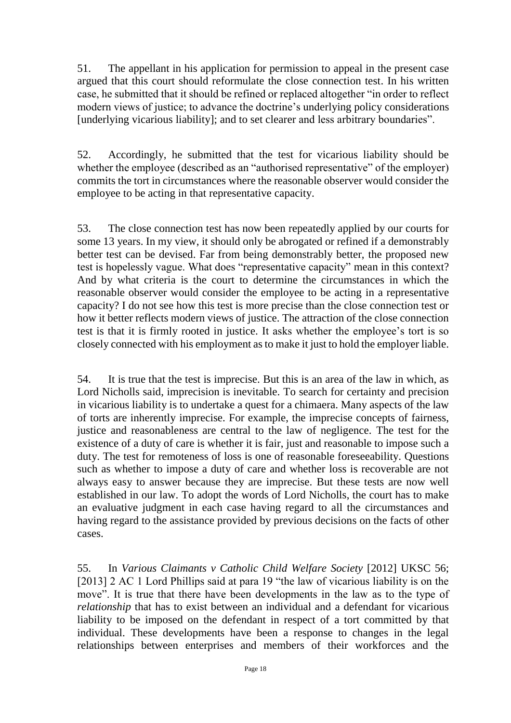51. The appellant in his application for permission to appeal in the present case argued that this court should reformulate the close connection test. In his written case, he submitted that it should be refined or replaced altogether "in order to reflect modern views of justice; to advance the doctrine's underlying policy considerations [underlying vicarious liability]; and to set clearer and less arbitrary boundaries".

52. Accordingly, he submitted that the test for vicarious liability should be whether the employee (described as an "authorised representative" of the employer) commits the tort in circumstances where the reasonable observer would consider the employee to be acting in that representative capacity.

53. The close connection test has now been repeatedly applied by our courts for some 13 years. In my view, it should only be abrogated or refined if a demonstrably better test can be devised. Far from being demonstrably better, the proposed new test is hopelessly vague. What does "representative capacity" mean in this context? And by what criteria is the court to determine the circumstances in which the reasonable observer would consider the employee to be acting in a representative capacity? I do not see how this test is more precise than the close connection test or how it better reflects modern views of justice. The attraction of the close connection test is that it is firmly rooted in justice. It asks whether the employee's tort is so closely connected with his employment as to make it just to hold the employer liable.

54. It is true that the test is imprecise. But this is an area of the law in which, as Lord Nicholls said, imprecision is inevitable. To search for certainty and precision in vicarious liability is to undertake a quest for a chimaera. Many aspects of the law of torts are inherently imprecise. For example, the imprecise concepts of fairness, justice and reasonableness are central to the law of negligence. The test for the existence of a duty of care is whether it is fair, just and reasonable to impose such a duty. The test for remoteness of loss is one of reasonable foreseeability. Questions such as whether to impose a duty of care and whether loss is recoverable are not always easy to answer because they are imprecise. But these tests are now well established in our law. To adopt the words of Lord Nicholls, the court has to make an evaluative judgment in each case having regard to all the circumstances and having regard to the assistance provided by previous decisions on the facts of other cases.

55. In *Various Claimants v Catholic Child Welfare Society* [2012] UKSC 56; [2013] 2 AC 1 Lord Phillips said at para 19 "the law of vicarious liability is on the move". It is true that there have been developments in the law as to the type of *relationship* that has to exist between an individual and a defendant for vicarious liability to be imposed on the defendant in respect of a tort committed by that individual. These developments have been a response to changes in the legal relationships between enterprises and members of their workforces and the